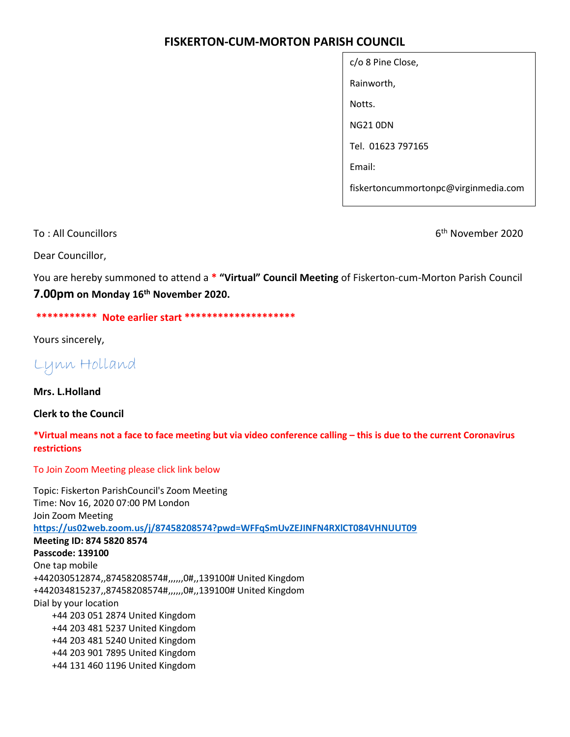## FISKERTON-CUM-MORTON PARISH COUNCIL

| c/o 8 Pine Close,                    |
|--------------------------------------|
| Rainworth,                           |
| Notts.                               |
| NG21 0DN                             |
| Tel. 01623 797165                    |
| Email:                               |
| fiskertoncummortonpc@virginmedia.com |

To : All Councillors 6th November 2020

Dear Councillor,

You are hereby summoned to attend a \* "Virtual" Council Meeting of Fiskerton-cum-Morton Parish Council 7.00pm on Monday 16<sup>th</sup> November 2020.

\*\*\*\*\*\*\*\*\*\*\* Note earlier start \*\*\*\*\*\*\*\*\*\*\*\*\*\*\*\*\*\*\*\*

Yours sincerely,

Lynn Holland

Mrs. L.Holland

Clerk to the Council

\*Virtual means not a face to face meeting but via video conference calling – this is due to the current Coronavirus restrictions

To Join Zoom Meeting please click link below

Topic: Fiskerton ParishCouncil's Zoom Meeting Time: Nov 16, 2020 07:00 PM London Join Zoom Meeting https://us02web.zoom.us/j/87458208574?pwd=WFFqSmUvZEJINFN4RXlCT084VHNUUT09 Meeting ID: 874 5820 8574 Passcode: 139100 One tap mobile +442030512874,,87458208574#,,,,,,0#,,139100# United Kingdom +442034815237,,87458208574#,,,,,,0#,,139100# United Kingdom Dial by your location +44 203 051 2874 United Kingdom +44 203 481 5237 United Kingdom +44 203 481 5240 United Kingdom +44 203 901 7895 United Kingdom +44 131 460 1196 United Kingdom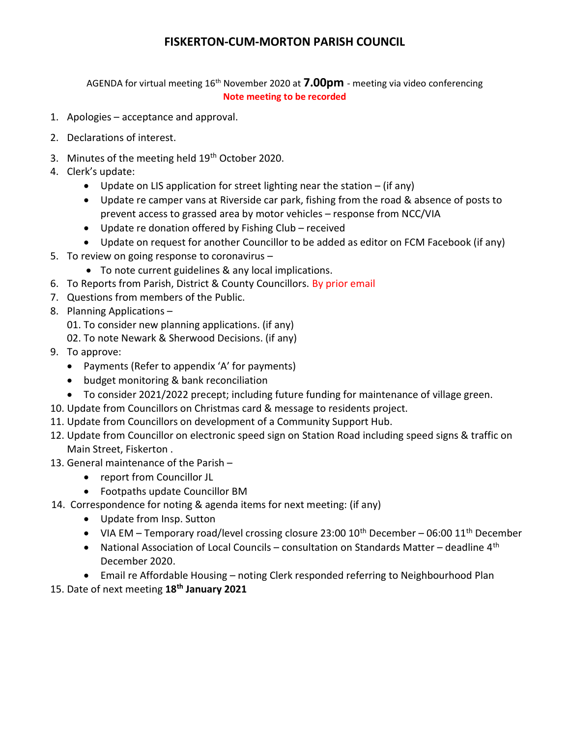## FISKERTON-CUM-MORTON PARISH COUNCIL

AGENDA for virtual meeting 16<sup>th</sup> November 2020 at **7.00pm** - meeting via video conferencing Note meeting to be recorded

- 1. Apologies acceptance and approval.
- 2. Declarations of interest.
- 3. Minutes of the meeting held 19<sup>th</sup> October 2020.
- 4. Clerk's update:
	- $\bullet$  Update on LIS application for street lighting near the station (if any)
	- Update re camper vans at Riverside car park, fishing from the road & absence of posts to prevent access to grassed area by motor vehicles – response from NCC/VIA
	- Update re donation offered by Fishing Club received
	- Update on request for another Councillor to be added as editor on FCM Facebook (if any)
- 5. To review on going response to coronavirus
	- To note current guidelines & any local implications.
- 6. To Reports from Parish, District & County Councillors. By prior email
- 7. Questions from members of the Public.
- 8. Planning Applications
	- 01. To consider new planning applications. (if any)
	- 02. To note Newark & Sherwood Decisions. (if any)
- 9. To approve:
	- Payments (Refer to appendix 'A' for payments)
	- budget monitoring & bank reconciliation
	- To consider 2021/2022 precept; including future funding for maintenance of village green.
- 10. Update from Councillors on Christmas card & message to residents project.
- 11. Update from Councillors on development of a Community Support Hub.
- 12. Update from Councillor on electronic speed sign on Station Road including speed signs & traffic on Main Street, Fiskerton .
- 13. General maintenance of the Parish
	- report from Councillor JL
	- Footpaths update Councillor BM
- 14. Correspondence for noting & agenda items for next meeting: (if any)
	- Update from Insp. Sutton
	- VIA EM Temporary road/level crossing closure 23:00  $10^{th}$  December 06:00  $11^{th}$  December
	- National Association of Local Councils consultation on Standards Matter deadline  $4<sup>th</sup>$ December 2020.
	- Email re Affordable Housing noting Clerk responded referring to Neighbourhood Plan
- 15. Date of next meeting 18<sup>th</sup> January 2021